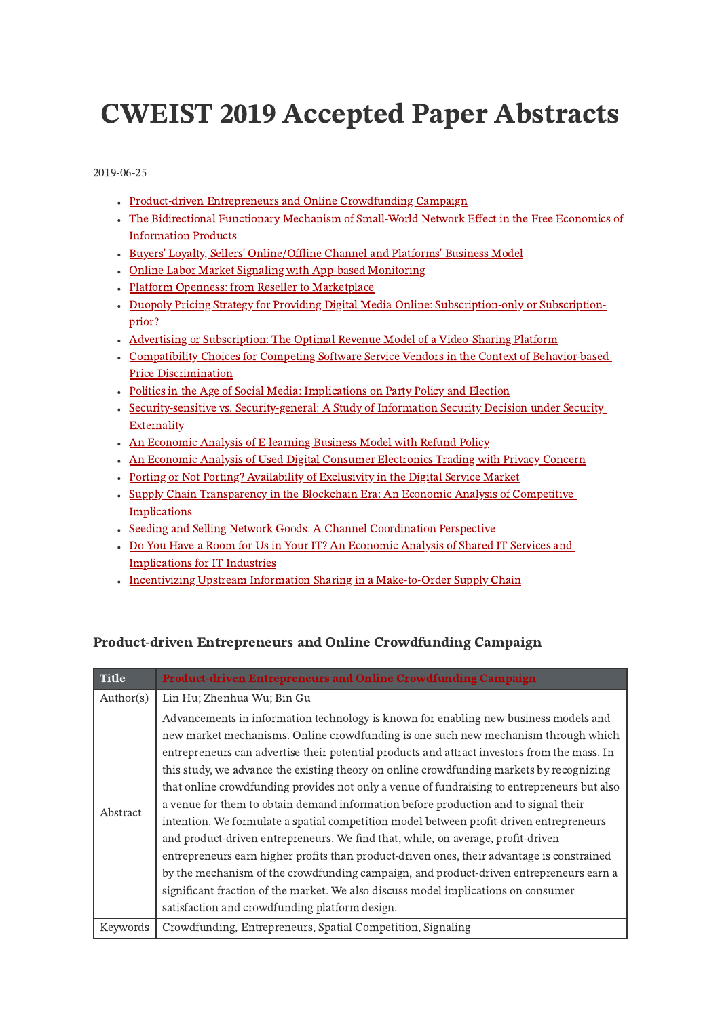# CWEIST 2019 Accepted Paper Abstracts

2019-06-25

- [Product-driven](#page-0-0) Entrepreneurs and Online Crowdfunding Campaign
- The Bidirectional Functionary Mechanism of Small-World Network Effect in the Free Economics of [Information](#page-1-0) Products
- Buyers' Loyalty, Sellers' [Online/Offline](#page-1-1) Channel and Platforms' Business Model
- Online Labor Market Signaling with App-based [Monitoring](#page-1-2)
- Platform Openness: from Reseller to [Marketplace](#page-2-0)
- Duopoly Pricing Strategy for Providing Digital Media Online: [Subscription-only](#page-2-1) or Subscriptionprior?
- Advertising or Subscription: The Optimal Revenue Model of a [Video-Sharing](#page-3-0) Platform
- Compatibility Choices for Competing Software Service Vendors in the Context of Behavior-based Price [Discrimination](#page-3-1)
- Politics in the Age of Social Media: [Implications](#page-4-0) on Party Policy and Election
- [Security-sensitive](#page-4-1) vs. Security-general: A Study of Information Security Decision under Security Externality
- An Economic Analysis of [E-learning](#page-5-0) Business Model with Refund Policy
- An Economic Analysis of Used Digital Consumer [Electronics](#page-5-1) Trading with Privacy Concern
- Porting or Not Porting? [Availability](#page-6-0) of Exclusivity in the Digital Service Market
- Supply Chain [Transparency](#page-6-1) in the Blockchain Era: An Economic Analysis of Competitive **Implications**
- Seeding and Selling Network Goods: A Channel [Coordination](#page-7-0) Perspective
- Do You Have a Room for Us in Your IT? An Economic Analysis of Shared IT Services and [Implications](#page-7-1) for IT Industries
- <span id="page-0-0"></span>• Incentivizing Upstream Information Sharing in a [Make-to-Order](#page-8-0) Supply Chain

#### Product-driven Entrepreneurs and Online Crowdfunding Campaign

| <b>Title</b> | <b>Product-driven Entrepreneurs and Online Crowdfunding Campaign</b>                                                                                                                                                                                                                                                                                                                                                                                                                                                                                                                                                                                                                                                                                                                                                                                                                                                                                                                                                                                                        |
|--------------|-----------------------------------------------------------------------------------------------------------------------------------------------------------------------------------------------------------------------------------------------------------------------------------------------------------------------------------------------------------------------------------------------------------------------------------------------------------------------------------------------------------------------------------------------------------------------------------------------------------------------------------------------------------------------------------------------------------------------------------------------------------------------------------------------------------------------------------------------------------------------------------------------------------------------------------------------------------------------------------------------------------------------------------------------------------------------------|
| Author(s)    | Lin Hu; Zhenhua Wu; Bin Gu                                                                                                                                                                                                                                                                                                                                                                                                                                                                                                                                                                                                                                                                                                                                                                                                                                                                                                                                                                                                                                                  |
| Abstract     | Advancements in information technology is known for enabling new business models and<br>new market mechanisms. Online crowdfunding is one such new mechanism through which<br>entrepreneurs can advertise their potential products and attract investors from the mass. In<br>this study, we advance the existing theory on online crowdfunding markets by recognizing<br>that online crowdfunding provides not only a venue of fundraising to entrepreneurs but also<br>a venue for them to obtain demand information before production and to signal their<br>intention. We formulate a spatial competition model between profit-driven entrepreneurs<br>and product-driven entrepreneurs. We find that, while, on average, profit-driven<br>entrepreneurs earn higher profits than product-driven ones, their advantage is constrained<br>by the mechanism of the crowdfunding campaign, and product-driven entrepreneurs earn a<br>significant fraction of the market. We also discuss model implications on consumer<br>satisfaction and crowdfunding platform design. |
| Keywords     | Crowdfunding, Entrepreneurs, Spatial Competition, Signaling                                                                                                                                                                                                                                                                                                                                                                                                                                                                                                                                                                                                                                                                                                                                                                                                                                                                                                                                                                                                                 |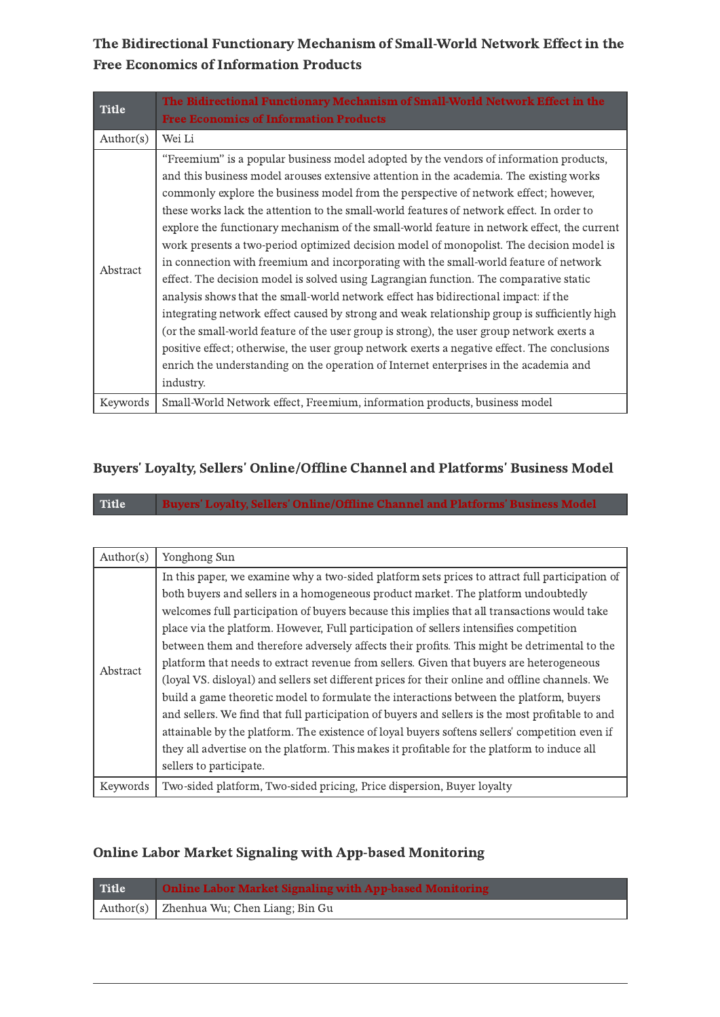<span id="page-1-0"></span>The Bidirectional Functionary Mechanism of Small-World Network Effect in the Free Economics of Information Products

| <b>Title</b> | The Bidirectional Functionary Mechanism of Small-World Network Effect in the<br><b>Free Economics of Information Products</b>                                                                                                                                                                                                                                                                                                                                                                                                                                                                                                                                                                                                                                                                                                                                                                                                                                                                                                                                                                                                                                                                                                                  |
|--------------|------------------------------------------------------------------------------------------------------------------------------------------------------------------------------------------------------------------------------------------------------------------------------------------------------------------------------------------------------------------------------------------------------------------------------------------------------------------------------------------------------------------------------------------------------------------------------------------------------------------------------------------------------------------------------------------------------------------------------------------------------------------------------------------------------------------------------------------------------------------------------------------------------------------------------------------------------------------------------------------------------------------------------------------------------------------------------------------------------------------------------------------------------------------------------------------------------------------------------------------------|
| Author(s)    | Wei Li                                                                                                                                                                                                                                                                                                                                                                                                                                                                                                                                                                                                                                                                                                                                                                                                                                                                                                                                                                                                                                                                                                                                                                                                                                         |
| Abstract     | "Freemium" is a popular business model adopted by the vendors of information products,<br>and this business model arouses extensive attention in the academia. The existing works<br>commonly explore the business model from the perspective of network effect; however,<br>these works lack the attention to the small-world features of network effect. In order to<br>explore the functionary mechanism of the small-world feature in network effect, the current<br>work presents a two-period optimized decision model of monopolist. The decision model is<br>in connection with freemium and incorporating with the small-world feature of network<br>effect. The decision model is solved using Lagrangian function. The comparative static<br>analysis shows that the small-world network effect has bidirectional impact: if the<br>integrating network effect caused by strong and weak relationship group is sufficiently high<br>(or the small-world feature of the user group is strong), the user group network exerts a<br>positive effect; otherwise, the user group network exerts a negative effect. The conclusions<br>enrich the understanding on the operation of Internet enterprises in the academia and<br>industry. |
| Keywords     | Small-World Network effect, Freemium, information products, business model                                                                                                                                                                                                                                                                                                                                                                                                                                                                                                                                                                                                                                                                                                                                                                                                                                                                                                                                                                                                                                                                                                                                                                     |

#### <span id="page-1-1"></span>Buyers' Loyalty, Sellers' Online/Offline Channel and Platforms' Business Model

Title Buyers' Loyalty, Sellers' Online/Offline Channel and Platforms' Business Model

| Author(s) | Yonghong Sun                                                                                     |
|-----------|--------------------------------------------------------------------------------------------------|
|           | In this paper, we examine why a two-sided platform sets prices to attract full participation of  |
|           | both buyers and sellers in a homogeneous product market. The platform undoubtedly                |
|           | welcomes full participation of buyers because this implies that all transactions would take      |
|           | place via the platform. However, Full participation of sellers intensifies competition           |
|           | between them and therefore adversely affects their profits. This might be detrimental to the     |
| Abstract  | platform that needs to extract revenue from sellers. Given that buyers are heterogeneous         |
|           | (loyal VS. disloyal) and sellers set different prices for their online and offline channels. We  |
|           | build a game theoretic model to formulate the interactions between the platform, buyers          |
|           | and sellers. We find that full participation of buyers and sellers is the most profitable to and |
|           | attainable by the platform. The existence of loyal buyers softens sellers' competition even if   |
|           | they all advertise on the platform. This makes it profitable for the platform to induce all      |
|           | sellers to participate.                                                                          |
| Keywords  | Two-sided platform, Two-sided pricing, Price dispersion, Buyer loyalty                           |

#### Online Labor Market Signaling with App-based Monitoring

<span id="page-1-2"></span>

| Title | <b>Online Labor Market Signaling with App-based Monitoring</b> |
|-------|----------------------------------------------------------------|
|       | Author(s) Zhenhua Wu; Chen Liang; Bin Gu                       |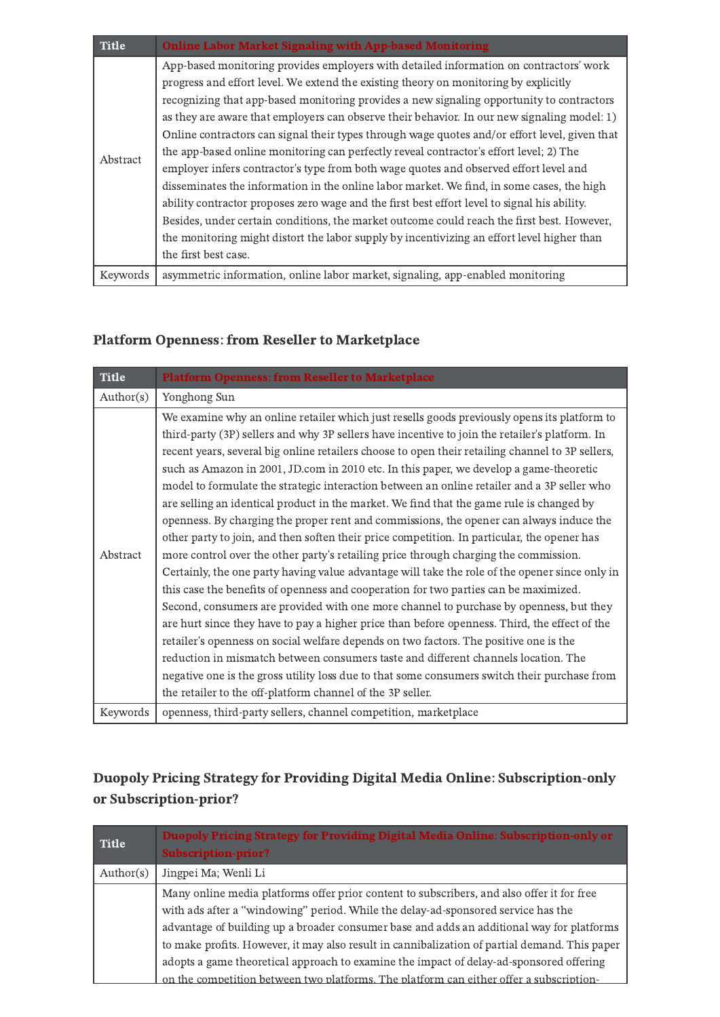| <b>Title</b> | <b>Online Labor Market Signaling with App-based Monitoring</b>                                                                                                                                                                                                                                                                                                                                                                                                                                                                                                                                                                                                                                                                                              |
|--------------|-------------------------------------------------------------------------------------------------------------------------------------------------------------------------------------------------------------------------------------------------------------------------------------------------------------------------------------------------------------------------------------------------------------------------------------------------------------------------------------------------------------------------------------------------------------------------------------------------------------------------------------------------------------------------------------------------------------------------------------------------------------|
| Abstract     | App-based monitoring provides employers with detailed information on contractors' work<br>progress and effort level. We extend the existing theory on monitoring by explicitly<br>recognizing that app-based monitoring provides a new signaling opportunity to contractors<br>as they are aware that employers can observe their behavior. In our new signaling model: 1)<br>Online contractors can signal their types through wage quotes and/or effort level, given that<br>the app-based online monitoring can perfectly reveal contractor's effort level; 2) The<br>employer infers contractor's type from both wage quotes and observed effort level and<br>disseminates the information in the online labor market. We find, in some cases, the high |
|              | ability contractor proposes zero wage and the first best effort level to signal his ability.<br>Besides, under certain conditions, the market outcome could reach the first best. However,<br>the monitoring might distort the labor supply by incentivizing an effort level higher than<br>the first best case.                                                                                                                                                                                                                                                                                                                                                                                                                                            |
| Keywords     | asymmetric information, online labor market, signaling, app-enabled monitoring                                                                                                                                                                                                                                                                                                                                                                                                                                                                                                                                                                                                                                                                              |

### <span id="page-2-0"></span>Platform Openness: from Reseller to Marketplace

| <b>Title</b> | <b>Platform Openness: from Reseller to Marketplace</b>                                           |
|--------------|--------------------------------------------------------------------------------------------------|
| Author(s)    | Yonghong Sun                                                                                     |
|              | We examine why an online retailer which just resells goods previously opens its platform to      |
|              | third-party (3P) sellers and why 3P sellers have incentive to join the retailer's platform. In   |
|              | recent years, several big online retailers choose to open their retailing channel to 3P sellers, |
|              | such as Amazon in 2001, JD.com in 2010 etc. In this paper, we develop a game-theoretic           |
|              | model to formulate the strategic interaction between an online retailer and a 3P seller who      |
| Abstract     | are selling an identical product in the market. We find that the game rule is changed by         |
|              | openness. By charging the proper rent and commissions, the opener can always induce the          |
|              | other party to join, and then soften their price competition. In particular, the opener has      |
|              | more control over the other party's retailing price through charging the commission.             |
|              | Certainly, the one party having value advantage will take the role of the opener since only in   |
|              | this case the benefits of openness and cooperation for two parties can be maximized.             |
|              | Second, consumers are provided with one more channel to purchase by openness, but they           |
|              | are hurt since they have to pay a higher price than before openness. Third, the effect of the    |
|              | retailer's openness on social welfare depends on two factors. The positive one is the            |
|              | reduction in mismatch between consumers taste and different channels location. The               |
|              | negative one is the gross utility loss due to that some consumers switch their purchase from     |
|              | the retailer to the off-platform channel of the 3P seller.                                       |
| Keywords     | openness, third-party sellers, channel competition, marketplace                                  |

## <span id="page-2-1"></span>Duopoly Pricing Strategy for Providing Digital Media Online: Subscription-only or Subscription-prior?

| <b>Title</b> | Duopoly Pricing Strategy for Providing Digital Media Online: Subscription-only or<br><b>Subscription-prior?</b> |
|--------------|-----------------------------------------------------------------------------------------------------------------|
| Author(s)    | Jingpei Ma; Wenli Li                                                                                            |
|              | Many online media platforms offer prior content to subscribers, and also offer it for free                      |
|              | with ads after a "windowing" period. While the delay-ad-sponsored service has the                               |
|              | advantage of building up a broader consumer base and adds an additional way for platforms                       |
|              | to make profits. However, it may also result in cannibalization of partial demand. This paper                   |
|              | adopts a game theoretical approach to examine the impact of delay-ad-sponsored offering                         |
|              | on the competition between two platforms. The platform can either offer a subscription-                         |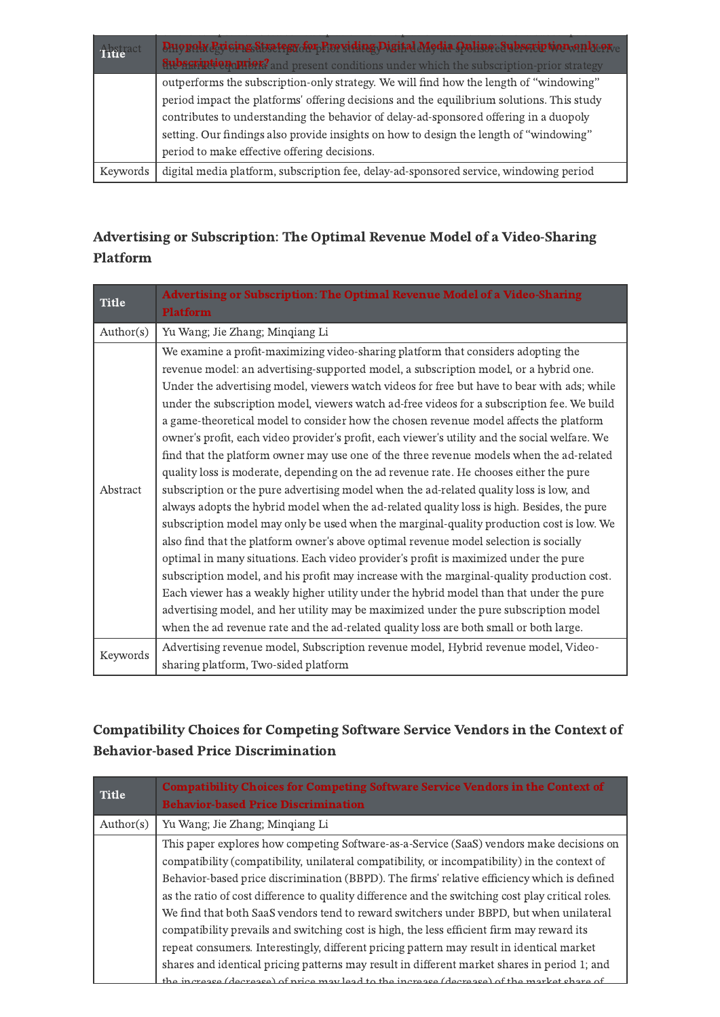| Title <sup>act</sup> | Duopoly Ericing Strategy for Providing Digital Media Opline Subscription and Leone            |
|----------------------|-----------------------------------------------------------------------------------------------|
|                      | <b>Subscription priors</b> and present conditions under which the subscription-prior strategy |
|                      | outperforms the subscription-only strategy. We will find how the length of "windowing"        |
|                      | period impact the platforms' offering decisions and the equilibrium solutions. This study     |
|                      | contributes to understanding the behavior of delay-ad-sponsored offering in a duopoly         |
|                      | setting. Our findings also provide insights on how to design the length of "windowing"        |
|                      | period to make effective offering decisions.                                                  |
| Keywords             | digital media platform, subscription fee, delay-ad-sponsored service, windowing period        |

## <span id="page-3-0"></span>Advertising or Subscription: The Optimal Revenue Model of a Video-Sharing Platform

| <b>Title</b> | Advertising or Subscription: The Optimal Revenue Model of a Video-Sharing<br><b>Platform</b>                                                                                                                                                                                                                                                                                                                                                                                                                                                                                                                                                                                                                                                                                                                                                                                                                                                                                                                                                                                                                                                                                                                                                                                                                                                                                                                                                                                                                                                                                                                 |
|--------------|--------------------------------------------------------------------------------------------------------------------------------------------------------------------------------------------------------------------------------------------------------------------------------------------------------------------------------------------------------------------------------------------------------------------------------------------------------------------------------------------------------------------------------------------------------------------------------------------------------------------------------------------------------------------------------------------------------------------------------------------------------------------------------------------------------------------------------------------------------------------------------------------------------------------------------------------------------------------------------------------------------------------------------------------------------------------------------------------------------------------------------------------------------------------------------------------------------------------------------------------------------------------------------------------------------------------------------------------------------------------------------------------------------------------------------------------------------------------------------------------------------------------------------------------------------------------------------------------------------------|
| Author(s)    | Yu Wang; Jie Zhang; Minqiang Li                                                                                                                                                                                                                                                                                                                                                                                                                                                                                                                                                                                                                                                                                                                                                                                                                                                                                                                                                                                                                                                                                                                                                                                                                                                                                                                                                                                                                                                                                                                                                                              |
| Abstract     | We examine a profit-maximizing video-sharing platform that considers adopting the<br>revenue model: an advertising-supported model, a subscription model, or a hybrid one.<br>Under the advertising model, viewers watch videos for free but have to bear with ads; while<br>under the subscription model, viewers watch ad-free videos for a subscription fee. We build<br>a game-theoretical model to consider how the chosen revenue model affects the platform<br>owner's profit, each video provider's profit, each viewer's utility and the social welfare. We<br>find that the platform owner may use one of the three revenue models when the ad-related<br>quality loss is moderate, depending on the ad revenue rate. He chooses either the pure<br>subscription or the pure advertising model when the ad-related quality loss is low, and<br>always adopts the hybrid model when the ad-related quality loss is high. Besides, the pure<br>subscription model may only be used when the marginal-quality production cost is low. We<br>also find that the platform owner's above optimal revenue model selection is socially<br>optimal in many situations. Each video provider's profit is maximized under the pure<br>subscription model, and his profit may increase with the marginal-quality production cost.<br>Each viewer has a weakly higher utility under the hybrid model than that under the pure<br>advertising model, and her utility may be maximized under the pure subscription model<br>when the ad revenue rate and the ad-related quality loss are both small or both large. |
| Keywords     | Advertising revenue model, Subscription revenue model, Hybrid revenue model, Video-<br>sharing platform, Two-sided platform                                                                                                                                                                                                                                                                                                                                                                                                                                                                                                                                                                                                                                                                                                                                                                                                                                                                                                                                                                                                                                                                                                                                                                                                                                                                                                                                                                                                                                                                                  |

#### <span id="page-3-1"></span>Compatibility Choices for Competing Software Service Vendors in the Context of Behavior-based Price Discrimination

| <b>Title</b> | <b>Compatibility Choices for Competing Software Service Vendors in the Context of</b><br><b>Behavior-based Price Discrimination</b>                                                                                                                                                                                                                                                                                                                                                                                                                                                                                                                                                                                                                                                                                                                                               |
|--------------|-----------------------------------------------------------------------------------------------------------------------------------------------------------------------------------------------------------------------------------------------------------------------------------------------------------------------------------------------------------------------------------------------------------------------------------------------------------------------------------------------------------------------------------------------------------------------------------------------------------------------------------------------------------------------------------------------------------------------------------------------------------------------------------------------------------------------------------------------------------------------------------|
| Author(s)    | Yu Wang; Jie Zhang; Minqiang Li                                                                                                                                                                                                                                                                                                                                                                                                                                                                                                                                                                                                                                                                                                                                                                                                                                                   |
|              | This paper explores how competing Software-as-a-Service (SaaS) vendors make decisions on<br>compatibility (compatibility, unilateral compatibility, or incompatibility) in the context of<br>Behavior-based price discrimination (BBPD). The firms' relative efficiency which is defined<br>as the ratio of cost difference to quality difference and the switching cost play critical roles.<br>We find that both SaaS vendors tend to reward switchers under BBPD, but when unilateral<br>compatibility prevails and switching cost is high, the less efficient firm may reward its<br>repeat consumers. Interestingly, different pricing pattern may result in identical market<br>shares and identical pricing patterns may result in different market shares in period 1; and<br>the increase (decrease) of price may lead to the increase (decrease) of the market share of |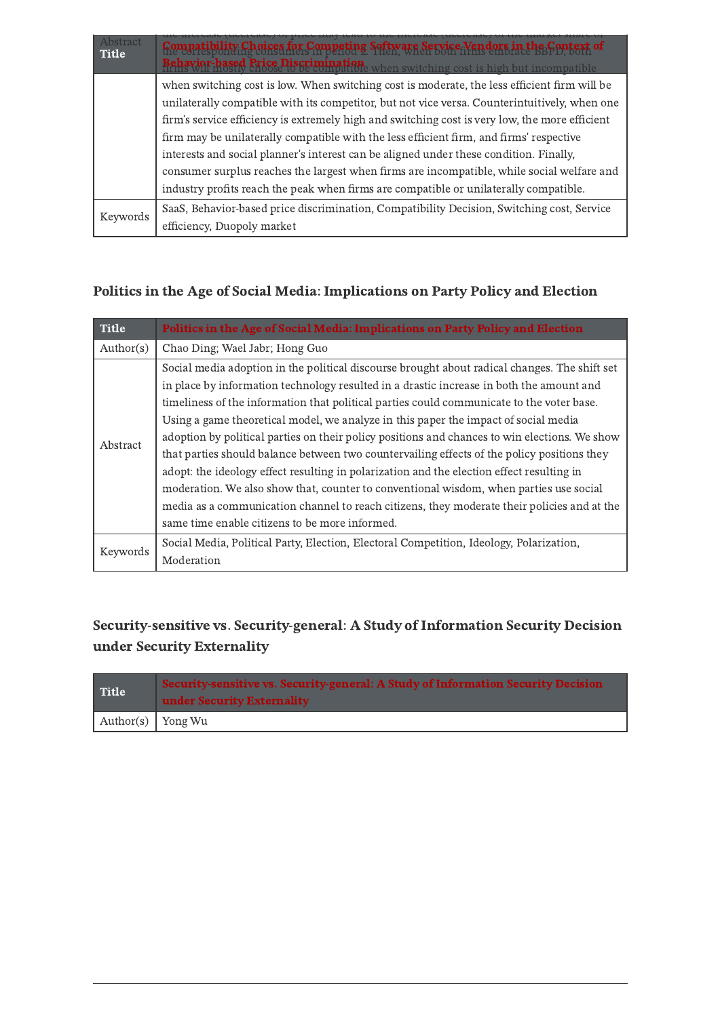| Abstract<br><b>Title</b> | Compatibility Choices for Competing Software Service Vendors in the Context of<br><b>Behavior-based Price Discrimination</b><br><b>Behavior-based Price Discrimination</b> when switching cost is high but incompatible |
|--------------------------|-------------------------------------------------------------------------------------------------------------------------------------------------------------------------------------------------------------------------|
|                          | when switching cost is low. When switching cost is moderate, the less efficient firm will be                                                                                                                            |
|                          | unilaterally compatible with its competitor, but not vice versa. Counterintuitively, when one                                                                                                                           |
|                          | firm's service efficiency is extremely high and switching cost is very low, the more efficient                                                                                                                          |
|                          | firm may be unilaterally compatible with the less efficient firm, and firms' respective                                                                                                                                 |
|                          | interests and social planner's interest can be aligned under these condition. Finally,                                                                                                                                  |
|                          | consumer surplus reaches the largest when firms are incompatible, while social welfare and                                                                                                                              |
|                          | industry profits reach the peak when firms are compatible or unilaterally compatible.                                                                                                                                   |
| Keywords                 | SaaS, Behavior-based price discrimination, Compatibility Decision, Switching cost, Service                                                                                                                              |
|                          | efficiency, Duopoly market                                                                                                                                                                                              |

#### <span id="page-4-0"></span>Politics in the Age of Social Media: Implications on Party Policy and Election

| <b>Title</b> | Politics in the Age of Social Media: Implications on Party Policy and Election                                                                                                                                                                                                                                                                                                                                                                                                                                                                                                                                                                                                                                                                                                                                                                                                                                        |
|--------------|-----------------------------------------------------------------------------------------------------------------------------------------------------------------------------------------------------------------------------------------------------------------------------------------------------------------------------------------------------------------------------------------------------------------------------------------------------------------------------------------------------------------------------------------------------------------------------------------------------------------------------------------------------------------------------------------------------------------------------------------------------------------------------------------------------------------------------------------------------------------------------------------------------------------------|
| Author(s)    | Chao Ding; Wael Jabr; Hong Guo                                                                                                                                                                                                                                                                                                                                                                                                                                                                                                                                                                                                                                                                                                                                                                                                                                                                                        |
| Abstract     | Social media adoption in the political discourse brought about radical changes. The shift set<br>in place by information technology resulted in a drastic increase in both the amount and<br>timeliness of the information that political parties could communicate to the voter base.<br>Using a game theoretical model, we analyze in this paper the impact of social media<br>adoption by political parties on their policy positions and chances to win elections. We show<br>that parties should balance between two countervailing effects of the policy positions they<br>adopt: the ideology effect resulting in polarization and the election effect resulting in<br>moderation. We also show that, counter to conventional wisdom, when parties use social<br>media as a communication channel to reach citizens, they moderate their policies and at the<br>same time enable citizens to be more informed. |
| Keywords     | Social Media, Political Party, Election, Electoral Competition, Ideology, Polarization,<br>Moderation                                                                                                                                                                                                                                                                                                                                                                                                                                                                                                                                                                                                                                                                                                                                                                                                                 |

### <span id="page-4-1"></span>Security-sensitive vs. Security-general: A Study of Information Security Decision under Security Externality

| Title                     | Security-sensitive vs. Security-general: A Study of Information Security Decision<br>under Security Externality |
|---------------------------|-----------------------------------------------------------------------------------------------------------------|
| Author(s) $\vert$ Yong Wu |                                                                                                                 |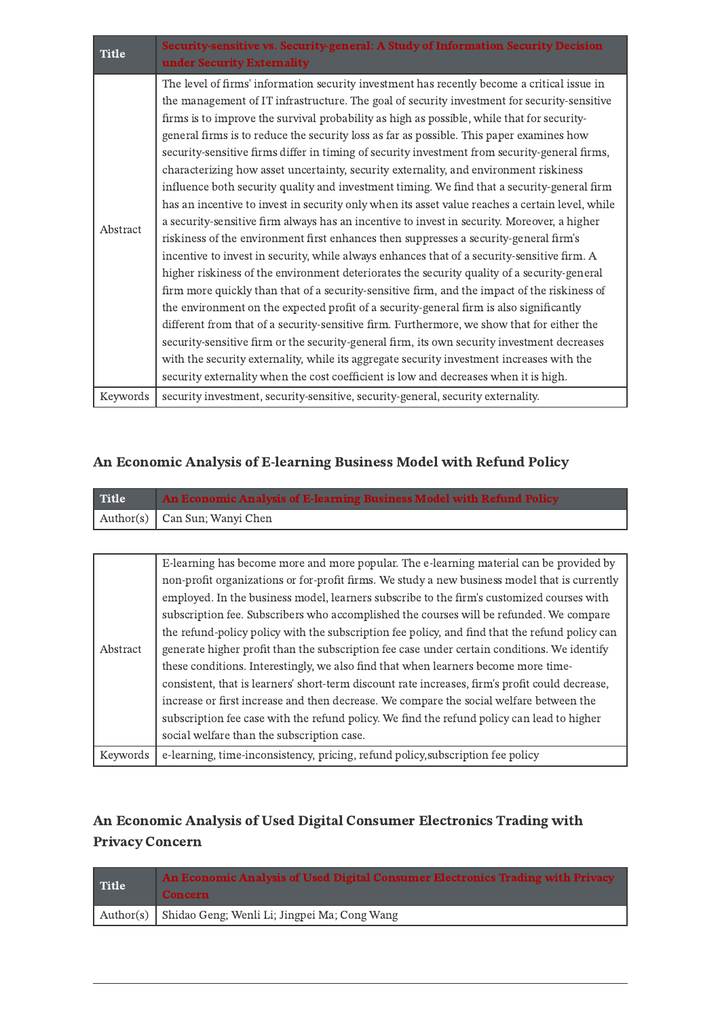| <b>Title</b> | Security-sensitive vs. Security-general: A Study of Information Security Decision<br>under Security Externality                                                                                                                                                                                                                                                                                                                                                                                                                                                                                                                                                                                                                                                                                                                                                                                                                                                                                                                                                                                                                                                                                                                                                                                                                                                                                                                                                                                                                                                                                                                                                                                                                                     |
|--------------|-----------------------------------------------------------------------------------------------------------------------------------------------------------------------------------------------------------------------------------------------------------------------------------------------------------------------------------------------------------------------------------------------------------------------------------------------------------------------------------------------------------------------------------------------------------------------------------------------------------------------------------------------------------------------------------------------------------------------------------------------------------------------------------------------------------------------------------------------------------------------------------------------------------------------------------------------------------------------------------------------------------------------------------------------------------------------------------------------------------------------------------------------------------------------------------------------------------------------------------------------------------------------------------------------------------------------------------------------------------------------------------------------------------------------------------------------------------------------------------------------------------------------------------------------------------------------------------------------------------------------------------------------------------------------------------------------------------------------------------------------------|
| Abstract     | The level of firms' information security investment has recently become a critical issue in<br>the management of IT infrastructure. The goal of security investment for security-sensitive<br>firms is to improve the survival probability as high as possible, while that for security-<br>general firms is to reduce the security loss as far as possible. This paper examines how<br>security-sensitive firms differ in timing of security investment from security-general firms,<br>characterizing how asset uncertainty, security externality, and environment riskiness<br>influence both security quality and investment timing. We find that a security-general firm<br>has an incentive to invest in security only when its asset value reaches a certain level, while<br>a security-sensitive firm always has an incentive to invest in security. Moreover, a higher<br>riskiness of the environment first enhances then suppresses a security-general firm's<br>incentive to invest in security, while always enhances that of a security-sensitive firm. A<br>higher riskiness of the environment deteriorates the security quality of a security-general<br>firm more quickly than that of a security-sensitive firm, and the impact of the riskiness of<br>the environment on the expected profit of a security-general firm is also significantly<br>different from that of a security-sensitive firm. Furthermore, we show that for either the<br>security-sensitive firm or the security-general firm, its own security investment decreases<br>with the security externality, while its aggregate security investment increases with the<br>security externality when the cost coefficient is low and decreases when it is high. |
| Keywords     | security investment, security-sensitive, security-general, security externality.                                                                                                                                                                                                                                                                                                                                                                                                                                                                                                                                                                                                                                                                                                                                                                                                                                                                                                                                                                                                                                                                                                                                                                                                                                                                                                                                                                                                                                                                                                                                                                                                                                                                    |

## An Economic Analysis of E-learning Business Model with Refund Policy

<span id="page-5-0"></span>

| <b>Title</b> | An Economic Analysis of E-learning Business Model with Refund Policy |
|--------------|----------------------------------------------------------------------|
|              | Author(s) Can Sun; Wanyi Chen                                        |

| Abstract | E-learning has become more and more popular. The e-learning material can be provided by         |
|----------|-------------------------------------------------------------------------------------------------|
|          | non-profit organizations or for-profit firms. We study a new business model that is currently   |
|          | employed. In the business model, learners subscribe to the firm's customized courses with       |
|          | subscription fee. Subscribers who accomplished the courses will be refunded. We compare         |
|          | the refund-policy policy with the subscription fee policy, and find that the refund policy can  |
|          | generate higher profit than the subscription fee case under certain conditions. We identify     |
|          | these conditions. Interestingly, we also find that when learners become more time-              |
|          | consistent, that is learners' short-term discount rate increases, firm's profit could decrease, |
|          | increase or first increase and then decrease. We compare the social welfare between the         |
|          | subscription fee case with the refund policy. We find the refund policy can lead to higher      |
|          | social welfare than the subscription case.                                                      |
| Keywords | e-learning, time-inconsistency, pricing, refund policy, subscription fee policy                 |

### <span id="page-5-1"></span>An Economic Analysis of Used Digital Consumer Electronics Trading with Privacy Concern

| Title | An Economic Analysis of Used Digital Consumer Electronics Trading with Privacy<br><b>Concern</b> |
|-------|--------------------------------------------------------------------------------------------------|
|       | Author(s) Shidao Geng; Wenli Li; Jingpei Ma; Cong Wang                                           |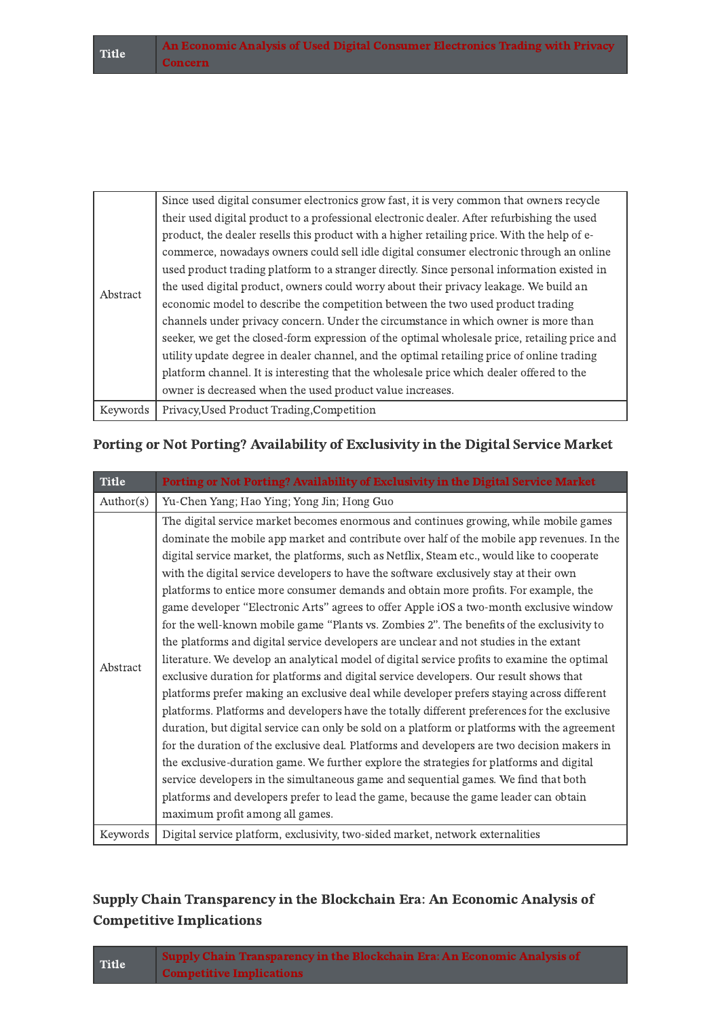| Abstract | Since used digital consumer electronics grow fast, it is very common that owners recycle<br>their used digital product to a professional electronic dealer. After refurbishing the used<br>product, the dealer resells this product with a higher retailing price. With the help of e-<br>commerce, nowadays owners could sell idle digital consumer electronic through an online<br>used product trading platform to a stranger directly. Since personal information existed in<br>the used digital product, owners could worry about their privacy leakage. We build an<br>economic model to describe the competition between the two used product trading<br>channels under privacy concern. Under the circumstance in which owner is more than<br>seeker, we get the closed-form expression of the optimal wholesale price, retailing price and<br>utility update degree in dealer channel, and the optimal retailing price of online trading<br>platform channel. It is interesting that the wholesale price which dealer offered to the<br>owner is decreased when the used product value increases. |
|----------|------------------------------------------------------------------------------------------------------------------------------------------------------------------------------------------------------------------------------------------------------------------------------------------------------------------------------------------------------------------------------------------------------------------------------------------------------------------------------------------------------------------------------------------------------------------------------------------------------------------------------------------------------------------------------------------------------------------------------------------------------------------------------------------------------------------------------------------------------------------------------------------------------------------------------------------------------------------------------------------------------------------------------------------------------------------------------------------------------------|
| Keywords | Privacy, Used Product Trading, Competition                                                                                                                                                                                                                                                                                                                                                                                                                                                                                                                                                                                                                                                                                                                                                                                                                                                                                                                                                                                                                                                                 |

#### <span id="page-6-0"></span>Porting or Not Porting? Availability of Exclusivity in the Digital Service Market

| <b>Title</b> | Porting or Not Porting? Availability of Exclusivity in the Digital Service Market                                                                                                                                                                                                                                                                                                                                                                                                                                                                                                                                                                                                                                                                                                                                                                                                                                                                                                                                                                                                                                                                                                                                                                                                                                                                                                                                                                                                                                                                                                                                                                          |
|--------------|------------------------------------------------------------------------------------------------------------------------------------------------------------------------------------------------------------------------------------------------------------------------------------------------------------------------------------------------------------------------------------------------------------------------------------------------------------------------------------------------------------------------------------------------------------------------------------------------------------------------------------------------------------------------------------------------------------------------------------------------------------------------------------------------------------------------------------------------------------------------------------------------------------------------------------------------------------------------------------------------------------------------------------------------------------------------------------------------------------------------------------------------------------------------------------------------------------------------------------------------------------------------------------------------------------------------------------------------------------------------------------------------------------------------------------------------------------------------------------------------------------------------------------------------------------------------------------------------------------------------------------------------------------|
| Author(s)    | Yu-Chen Yang; Hao Ying; Yong Jin; Hong Guo                                                                                                                                                                                                                                                                                                                                                                                                                                                                                                                                                                                                                                                                                                                                                                                                                                                                                                                                                                                                                                                                                                                                                                                                                                                                                                                                                                                                                                                                                                                                                                                                                 |
| Abstract     | The digital service market becomes enormous and continues growing, while mobile games<br>dominate the mobile app market and contribute over half of the mobile app revenues. In the<br>digital service market, the platforms, such as Netflix, Steam etc., would like to cooperate<br>with the digital service developers to have the software exclusively stay at their own<br>platforms to entice more consumer demands and obtain more profits. For example, the<br>game developer "Electronic Arts" agrees to offer Apple iOS a two-month exclusive window<br>for the well-known mobile game "Plants vs. Zombies 2". The benefits of the exclusivity to<br>the platforms and digital service developers are unclear and not studies in the extant<br>literature. We develop an analytical model of digital service profits to examine the optimal<br>exclusive duration for platforms and digital service developers. Our result shows that<br>platforms prefer making an exclusive deal while developer prefers staying across different<br>platforms. Platforms and developers have the totally different preferences for the exclusive<br>duration, but digital service can only be sold on a platform or platforms with the agreement<br>for the duration of the exclusive deal. Platforms and developers are two decision makers in<br>the exclusive-duration game. We further explore the strategies for platforms and digital<br>service developers in the simultaneous game and sequential games. We find that both<br>platforms and developers prefer to lead the game, because the game leader can obtain<br>maximum profit among all games. |
| Keywords     | Digital service platform, exclusivity, two-sided market, network externalities                                                                                                                                                                                                                                                                                                                                                                                                                                                                                                                                                                                                                                                                                                                                                                                                                                                                                                                                                                                                                                                                                                                                                                                                                                                                                                                                                                                                                                                                                                                                                                             |

#### <span id="page-6-1"></span>Supply Chain Transparency in the Blockchain Era: An Economic Analysis of Competitive Implications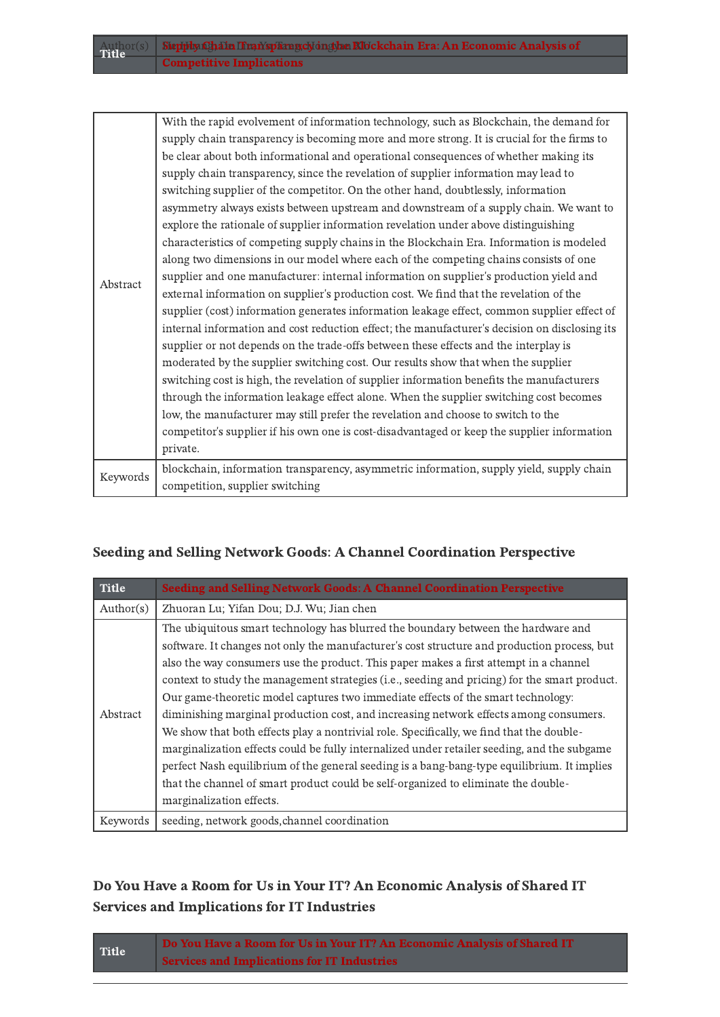|          | With the rapid evolvement of information technology, such as Blockchain, the demand for       |
|----------|-----------------------------------------------------------------------------------------------|
|          | supply chain transparency is becoming more and more strong. It is crucial for the firms to    |
|          | be clear about both informational and operational consequences of whether making its          |
|          | supply chain transparency, since the revelation of supplier information may lead to           |
|          | switching supplier of the competitor. On the other hand, doubtlessly, information             |
|          | asymmetry always exists between upstream and downstream of a supply chain. We want to         |
|          | explore the rationale of supplier information revelation under above distinguishing           |
|          | characteristics of competing supply chains in the Blockchain Era. Information is modeled      |
|          | along two dimensions in our model where each of the competing chains consists of one          |
| Abstract | supplier and one manufacturer: internal information on supplier's production yield and        |
|          | external information on supplier's production cost. We find that the revelation of the        |
|          | supplier (cost) information generates information leakage effect, common supplier effect of   |
|          | internal information and cost reduction effect; the manufacturer's decision on disclosing its |
|          | supplier or not depends on the trade-offs between these effects and the interplay is          |
|          | moderated by the supplier switching cost. Our results show that when the supplier             |
|          | switching cost is high, the revelation of supplier information benefits the manufacturers     |
|          | through the information leakage effect alone. When the supplier switching cost becomes        |
|          | low, the manufacturer may still prefer the revelation and choose to switch to the             |
|          | competitor's supplier if his own one is cost-disadvantaged or keep the supplier information   |
|          | private.                                                                                      |
|          | blockchain, information transparency, asymmetric information, supply yield, supply chain      |
| Keywords | competition, supplier switching                                                               |

#### <span id="page-7-0"></span>Seeding and Selling Network Goods: A Channel Coordination Perspective

| <b>Title</b> | Seeding and Selling Network Goods: A Channel Coordination Perspective                                                                                                                                                                                                                                                                                                                                                                                                                                                                                                                                                                                                                                                                                                                                                                                                                                                                                               |
|--------------|---------------------------------------------------------------------------------------------------------------------------------------------------------------------------------------------------------------------------------------------------------------------------------------------------------------------------------------------------------------------------------------------------------------------------------------------------------------------------------------------------------------------------------------------------------------------------------------------------------------------------------------------------------------------------------------------------------------------------------------------------------------------------------------------------------------------------------------------------------------------------------------------------------------------------------------------------------------------|
| Author(s)    | Zhuoran Lu; Yifan Dou; D.J. Wu; Jian chen                                                                                                                                                                                                                                                                                                                                                                                                                                                                                                                                                                                                                                                                                                                                                                                                                                                                                                                           |
| Abstract     | The ubiquitous smart technology has blurred the boundary between the hardware and<br>software. It changes not only the manufacturer's cost structure and production process, but<br>also the way consumers use the product. This paper makes a first attempt in a channel<br>context to study the management strategies (i.e., seeding and pricing) for the smart product.<br>Our game-theoretic model captures two immediate effects of the smart technology:<br>diminishing marginal production cost, and increasing network effects among consumers.<br>We show that both effects play a nontrivial role. Specifically, we find that the double-<br>marginalization effects could be fully internalized under retailer seeding, and the subgame<br>perfect Nash equilibrium of the general seeding is a bang-bang-type equilibrium. It implies<br>that the channel of smart product could be self-organized to eliminate the double-<br>marginalization effects. |
| Keywords     | seeding, network goods, channel coordination                                                                                                                                                                                                                                                                                                                                                                                                                                                                                                                                                                                                                                                                                                                                                                                                                                                                                                                        |

#### <span id="page-7-1"></span>Do You Have a Room for Us in Your IT? An Economic Analysis of Shared IT Services and Implications for IT Industries

| <b>Title</b> | Do You Have a Room for Us in Your IT? An Economic Analysis of Shared IT |
|--------------|-------------------------------------------------------------------------|
|              | <b>Services and Implications for IT Industries</b>                      |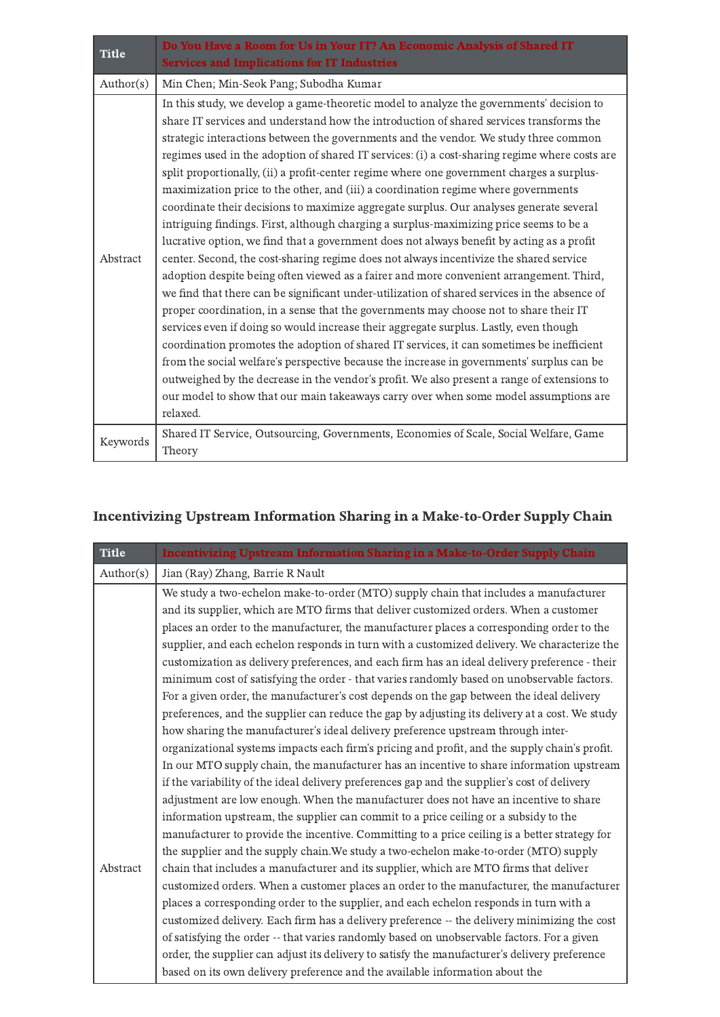| <b>Title</b> | Do You Have a Room for Us in Your IT? An Economic Analysis of Shared IT<br><b>Services and Implications for IT Industries</b>                                                                                                                                                                                                                                                                                                                                                                                                                                                                                                                                                                                                                                                                                                                                                                                                                                                                                                                                                                                                                                                                                                                                                                                                                                                                                                                                                                                                                                                                                                                                                                                         |
|--------------|-----------------------------------------------------------------------------------------------------------------------------------------------------------------------------------------------------------------------------------------------------------------------------------------------------------------------------------------------------------------------------------------------------------------------------------------------------------------------------------------------------------------------------------------------------------------------------------------------------------------------------------------------------------------------------------------------------------------------------------------------------------------------------------------------------------------------------------------------------------------------------------------------------------------------------------------------------------------------------------------------------------------------------------------------------------------------------------------------------------------------------------------------------------------------------------------------------------------------------------------------------------------------------------------------------------------------------------------------------------------------------------------------------------------------------------------------------------------------------------------------------------------------------------------------------------------------------------------------------------------------------------------------------------------------------------------------------------------------|
| Author(s)    | Min Chen; Min-Seok Pang; Subodha Kumar                                                                                                                                                                                                                                                                                                                                                                                                                                                                                                                                                                                                                                                                                                                                                                                                                                                                                                                                                                                                                                                                                                                                                                                                                                                                                                                                                                                                                                                                                                                                                                                                                                                                                |
| Abstract     | In this study, we develop a game-theoretic model to analyze the governments' decision to<br>share IT services and understand how the introduction of shared services transforms the<br>strategic interactions between the governments and the vendor. We study three common<br>regimes used in the adoption of shared IT services: (i) a cost-sharing regime where costs are<br>split proportionally, (ii) a profit-center regime where one government charges a surplus-<br>maximization price to the other, and (iii) a coordination regime where governments<br>coordinate their decisions to maximize aggregate surplus. Our analyses generate several<br>intriguing findings. First, although charging a surplus-maximizing price seems to be a<br>lucrative option, we find that a government does not always benefit by acting as a profit<br>center. Second, the cost-sharing regime does not always incentivize the shared service<br>adoption despite being often viewed as a fairer and more convenient arrangement. Third,<br>we find that there can be significant under-utilization of shared services in the absence of<br>proper coordination, in a sense that the governments may choose not to share their IT<br>services even if doing so would increase their aggregate surplus. Lastly, even though<br>coordination promotes the adoption of shared IT services, it can sometimes be inefficient<br>from the social welfare's perspective because the increase in governments' surplus can be<br>outweighed by the decrease in the vendor's profit. We also present a range of extensions to<br>our model to show that our main takeaways carry over when some model assumptions are<br>relaxed. |
| Keywords     | Shared IT Service, Outsourcing, Governments, Economies of Scale, Social Welfare, Game<br>Theory                                                                                                                                                                                                                                                                                                                                                                                                                                                                                                                                                                                                                                                                                                                                                                                                                                                                                                                                                                                                                                                                                                                                                                                                                                                                                                                                                                                                                                                                                                                                                                                                                       |

## Incentivizing Upstream Information Sharing in a Make-to-Order Supply Chain

<span id="page-8-0"></span>

| <b>Title</b> | <b>Incentivizing Upstream Information Sharing in a Make-to-Order Supply Chain</b>              |
|--------------|------------------------------------------------------------------------------------------------|
| Author(s)    | Jian (Ray) Zhang, Barrie R Nault                                                               |
|              | We study a two-echelon make-to-order (MTO) supply chain that includes a manufacturer           |
|              | and its supplier, which are MTO firms that deliver customized orders. When a customer          |
|              | places an order to the manufacturer, the manufacturer places a corresponding order to the      |
|              | supplier, and each echelon responds in turn with a customized delivery. We characterize the    |
|              | customization as delivery preferences, and each firm has an ideal delivery preference - their  |
|              | minimum cost of satisfying the order - that varies randomly based on unobservable factors.     |
|              | For a given order, the manufacturer's cost depends on the gap between the ideal delivery       |
|              | preferences, and the supplier can reduce the gap by adjusting its delivery at a cost. We study |
|              | how sharing the manufacturer's ideal delivery preference upstream through inter-               |
|              | organizational systems impacts each firm's pricing and profit, and the supply chain's profit.  |
|              | In our MTO supply chain, the manufacturer has an incentive to share information upstream       |
|              | if the variability of the ideal delivery preferences gap and the supplier's cost of delivery   |
|              | adjustment are low enough. When the manufacturer does not have an incentive to share           |
|              | information upstream, the supplier can commit to a price ceiling or a subsidy to the           |
|              | manufacturer to provide the incentive. Committing to a price ceiling is a better strategy for  |
|              | the supplier and the supply chain. We study a two-echelon make-to-order (MTO) supply           |
| Abstract     | chain that includes a manufacturer and its supplier, which are MTO firms that deliver          |
|              | customized orders. When a customer places an order to the manufacturer, the manufacturer       |
|              | places a corresponding order to the supplier, and each echelon responds in turn with a         |
|              | customized delivery. Each firm has a delivery preference -- the delivery minimizing the cost   |
|              | of satisfying the order -- that varies randomly based on unobservable factors. For a given     |
|              | order, the supplier can adjust its delivery to satisfy the manufacturer's delivery preference  |
|              | based on its own delivery preference and the available information about the                   |